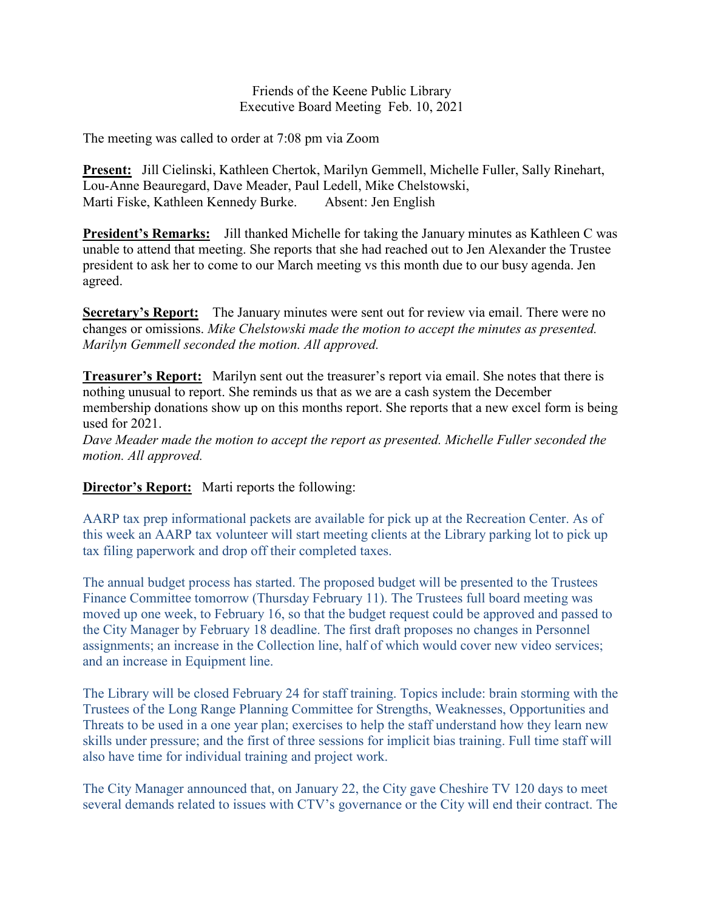Friends of the Keene Public Library Executive Board Meeting Feb. 10, 2021

The meeting was called to order at 7:08 pm via Zoom

**Present:** Jill Cielinski, Kathleen Chertok, Marilyn Gemmell, Michelle Fuller, Sally Rinehart, Lou-Anne Beauregard, Dave Meader, Paul Ledell, Mike Chelstowski, Marti Fiske, Kathleen Kennedy Burke. Absent: Jen English

**President's Remarks:** Jill thanked Michelle for taking the January minutes as Kathleen C was unable to attend that meeting. She reports that she had reached out to Jen Alexander the Trustee president to ask her to come to our March meeting vs this month due to our busy agenda. Jen agreed.

**Secretary's Report:** The January minutes were sent out for review via email. There were no changes or omissions. *Mike Chelstowski made the motion to accept the minutes as presented. Marilyn Gemmell seconded the motion. All approved.*

**Treasurer's Report:** Marilyn sent out the treasurer's report via email. She notes that there is nothing unusual to report. She reminds us that as we are a cash system the December membership donations show up on this months report. She reports that a new excel form is being used for 2021.

*Dave Meader made the motion to accept the report as presented. Michelle Fuller seconded the motion. All approved.*

**Director's Report:** Marti reports the following:

AARP tax prep informational packets are available for pick up at the Recreation Center. As of this week an AARP tax volunteer will start meeting clients at the Library parking lot to pick up tax filing paperwork and drop off their completed taxes.

The annual budget process has started. The proposed budget will be presented to the Trustees Finance Committee tomorrow (Thursday February 11). The Trustees full board meeting was moved up one week, to February 16, so that the budget request could be approved and passed to the City Manager by February 18 deadline. The first draft proposes no changes in Personnel assignments; an increase in the Collection line, half of which would cover new video services; and an increase in Equipment line.

The Library will be closed February 24 for staff training. Topics include: brain storming with the Trustees of the Long Range Planning Committee for Strengths, Weaknesses, Opportunities and Threats to be used in a one year plan; exercises to help the staff understand how they learn new skills under pressure; and the first of three sessions for implicit bias training. Full time staff will also have time for individual training and project work.

The City Manager announced that, on January 22, the City gave Cheshire TV 120 days to meet several demands related to issues with CTV's governance or the City will end their contract. The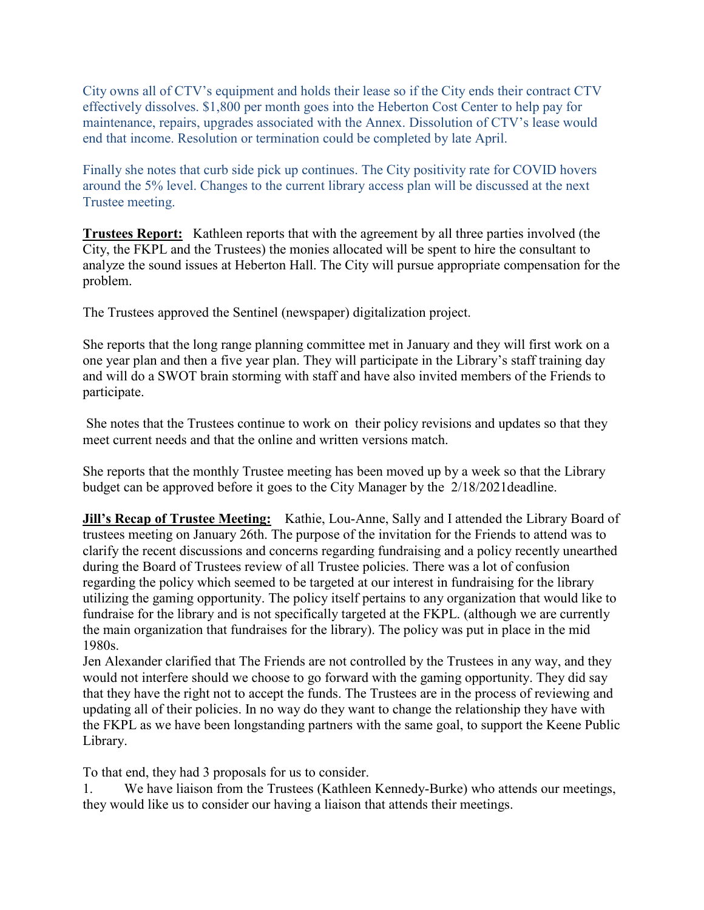City owns all of CTV's equipment and holds their lease so if the City ends their contract CTV effectively dissolves. \$1,800 per month goes into the Heberton Cost Center to help pay for maintenance, repairs, upgrades associated with the Annex. Dissolution of CTV's lease would end that income. Resolution or termination could be completed by late April.

Finally she notes that curb side pick up continues. The City positivity rate for COVID hovers around the 5% level. Changes to the current library access plan will be discussed at the next Trustee meeting.

**Trustees Report:** Kathleen reports that with the agreement by all three parties involved (the City, the FKPL and the Trustees) the monies allocated will be spent to hire the consultant to analyze the sound issues at Heberton Hall. The City will pursue appropriate compensation for the problem.

The Trustees approved the Sentinel (newspaper) digitalization project.

She reports that the long range planning committee met in January and they will first work on a one year plan and then a five year plan. They will participate in the Library's staff training day and will do a SWOT brain storming with staff and have also invited members of the Friends to participate.

She notes that the Trustees continue to work on their policy revisions and updates so that they meet current needs and that the online and written versions match.

She reports that the monthly Trustee meeting has been moved up by a week so that the Library budget can be approved before it goes to the City Manager by the 2/18/2021deadline.

**Jill's Recap of Trustee Meeting:** Kathie, Lou-Anne, Sally and I attended the Library Board of trustees meeting on January 26th. The purpose of the invitation for the Friends to attend was to clarify the recent discussions and concerns regarding fundraising and a policy recently unearthed during the Board of Trustees review of all Trustee policies. There was a lot of confusion regarding the policy which seemed to be targeted at our interest in fundraising for the library utilizing the gaming opportunity. The policy itself pertains to any organization that would like to fundraise for the library and is not specifically targeted at the FKPL. (although we are currently the main organization that fundraises for the library). The policy was put in place in the mid 1980s.

Jen Alexander clarified that The Friends are not controlled by the Trustees in any way, and they would not interfere should we choose to go forward with the gaming opportunity. They did say that they have the right not to accept the funds. The Trustees are in the process of reviewing and updating all of their policies. In no way do they want to change the relationship they have with the FKPL as we have been longstanding partners with the same goal, to support the Keene Public Library.

To that end, they had 3 proposals for us to consider.

1. We have liaison from the Trustees (Kathleen Kennedy-Burke) who attends our meetings, they would like us to consider our having a liaison that attends their meetings.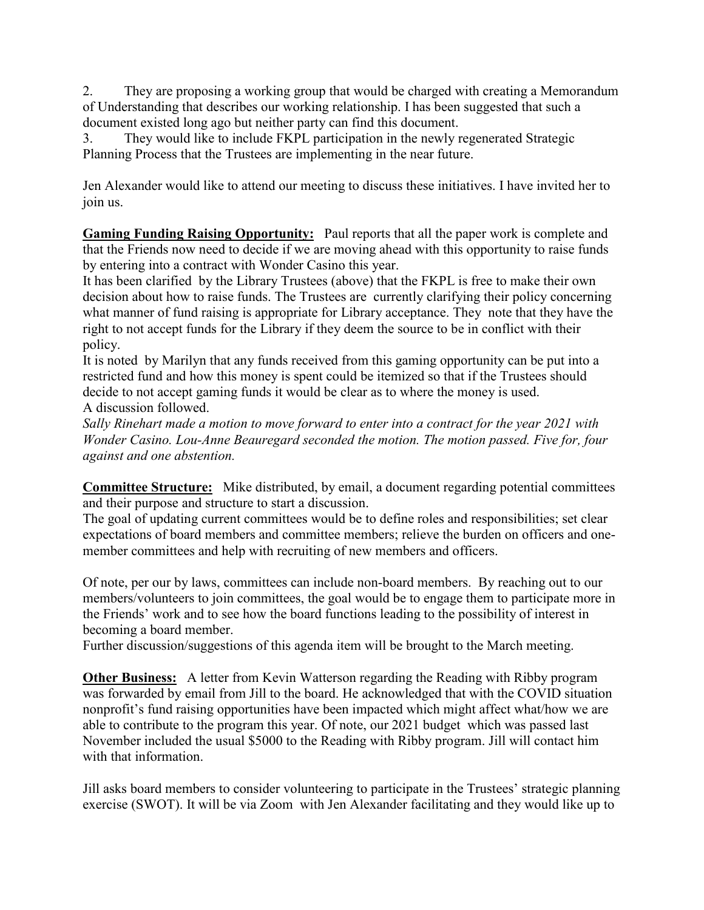2. They are proposing a working group that would be charged with creating a Memorandum of Understanding that describes our working relationship. I has been suggested that such a document existed long ago but neither party can find this document.

3. They would like to include FKPL participation in the newly regenerated Strategic Planning Process that the Trustees are implementing in the near future.

Jen Alexander would like to attend our meeting to discuss these initiatives. I have invited her to join us.

**Gaming Funding Raising Opportunity:** Paul reports that all the paper work is complete and that the Friends now need to decide if we are moving ahead with this opportunity to raise funds by entering into a contract with Wonder Casino this year.

It has been clarified by the Library Trustees (above) that the FKPL is free to make their own decision about how to raise funds. The Trustees are currently clarifying their policy concerning what manner of fund raising is appropriate for Library acceptance. They note that they have the right to not accept funds for the Library if they deem the source to be in conflict with their policy.

It is noted by Marilyn that any funds received from this gaming opportunity can be put into a restricted fund and how this money is spent could be itemized so that if the Trustees should decide to not accept gaming funds it would be clear as to where the money is used. A discussion followed.

*Sally Rinehart made a motion to move forward to enter into a contract for the year 2021 with Wonder Casino. Lou-Anne Beauregard seconded the motion. The motion passed. Five for, four against and one abstention.*

**Committee Structure:** Mike distributed, by email, a document regarding potential committees and their purpose and structure to start a discussion.

The goal of updating current committees would be to define roles and responsibilities; set clear expectations of board members and committee members; relieve the burden on officers and onemember committees and help with recruiting of new members and officers.

Of note, per our by laws, committees can include non-board members. By reaching out to our members/volunteers to join committees, the goal would be to engage them to participate more in the Friends' work and to see how the board functions leading to the possibility of interest in becoming a board member.

Further discussion/suggestions of this agenda item will be brought to the March meeting.

**Other Business:** A letter from Kevin Watterson regarding the Reading with Ribby program was forwarded by email from Jill to the board. He acknowledged that with the COVID situation nonprofit's fund raising opportunities have been impacted which might affect what/how we are able to contribute to the program this year. Of note, our 2021 budget which was passed last November included the usual \$5000 to the Reading with Ribby program. Jill will contact him with that information.

Jill asks board members to consider volunteering to participate in the Trustees' strategic planning exercise (SWOT). It will be via Zoom with Jen Alexander facilitating and they would like up to